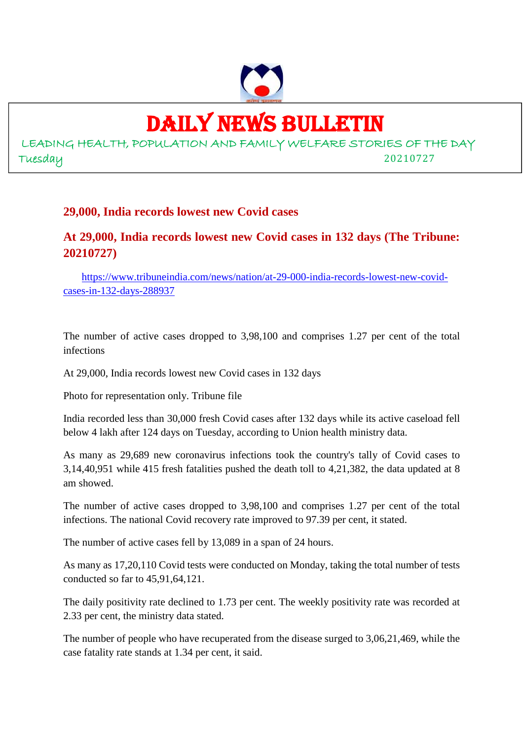

# DAILY NEWS BULLETIN

LEADING HEALTH, POPULATION AND FAMILY WELFARE STORIES OF THE DAY Tuesday 20210727

#### **29,000, India records lowest new Covid cases**

### **At 29,000, India records lowest new Covid cases in 132 days (The Tribune: 20210727)**

https://www.tribuneindia.com/news/nation/at-29-000-india-records-lowest-new-covidcases-in-132-days-288937

The number of active cases dropped to 3,98,100 and comprises 1.27 per cent of the total infections

At 29,000, India records lowest new Covid cases in 132 days

Photo for representation only. Tribune file

India recorded less than 30,000 fresh Covid cases after 132 days while its active caseload fell below 4 lakh after 124 days on Tuesday, according to Union health ministry data.

As many as 29,689 new coronavirus infections took the country's tally of Covid cases to 3,14,40,951 while 415 fresh fatalities pushed the death toll to 4,21,382, the data updated at 8 am showed.

The number of active cases dropped to 3,98,100 and comprises 1.27 per cent of the total infections. The national Covid recovery rate improved to 97.39 per cent, it stated.

The number of active cases fell by 13,089 in a span of 24 hours.

As many as 17,20,110 Covid tests were conducted on Monday, taking the total number of tests conducted so far to 45,91,64,121.

The daily positivity rate declined to 1.73 per cent. The weekly positivity rate was recorded at 2.33 per cent, the ministry data stated.

The number of people who have recuperated from the disease surged to 3,06,21,469, while the case fatality rate stands at 1.34 per cent, it said.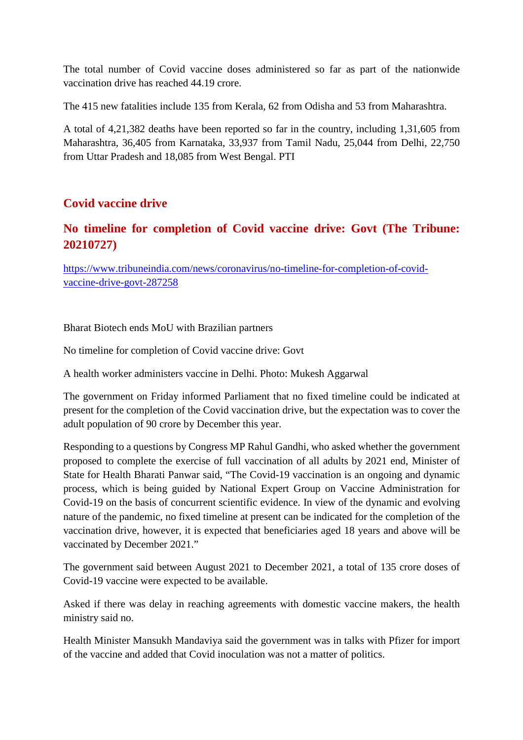The total number of Covid vaccine doses administered so far as part of the nationwide vaccination drive has reached 44.19 crore.

The 415 new fatalities include 135 from Kerala, 62 from Odisha and 53 from Maharashtra.

A total of 4,21,382 deaths have been reported so far in the country, including 1,31,605 from Maharashtra, 36,405 from Karnataka, 33,937 from Tamil Nadu, 25,044 from Delhi, 22,750 from Uttar Pradesh and 18,085 from West Bengal. PTI

#### **Covid vaccine drive**

### **No timeline for completion of Covid vaccine drive: Govt (The Tribune: 20210727)**

https://www.tribuneindia.com/news/coronavirus/no-timeline-for-completion-of-covidvaccine-drive-govt-287258

Bharat Biotech ends MoU with Brazilian partners

No timeline for completion of Covid vaccine drive: Govt

A health worker administers vaccine in Delhi. Photo: Mukesh Aggarwal

The government on Friday informed Parliament that no fixed timeline could be indicated at present for the completion of the Covid vaccination drive, but the expectation was to cover the adult population of 90 crore by December this year.

Responding to a questions by Congress MP Rahul Gandhi, who asked whether the government proposed to complete the exercise of full vaccination of all adults by 2021 end, Minister of State for Health Bharati Panwar said, "The Covid-19 vaccination is an ongoing and dynamic process, which is being guided by National Expert Group on Vaccine Administration for Covid-19 on the basis of concurrent scientific evidence. In view of the dynamic and evolving nature of the pandemic, no fixed timeline at present can be indicated for the completion of the vaccination drive, however, it is expected that beneficiaries aged 18 years and above will be vaccinated by December 2021."

The government said between August 2021 to December 2021, a total of 135 crore doses of Covid-19 vaccine were expected to be available.

Asked if there was delay in reaching agreements with domestic vaccine makers, the health ministry said no.

Health Minister Mansukh Mandaviya said the government was in talks with Pfizer for import of the vaccine and added that Covid inoculation was not a matter of politics.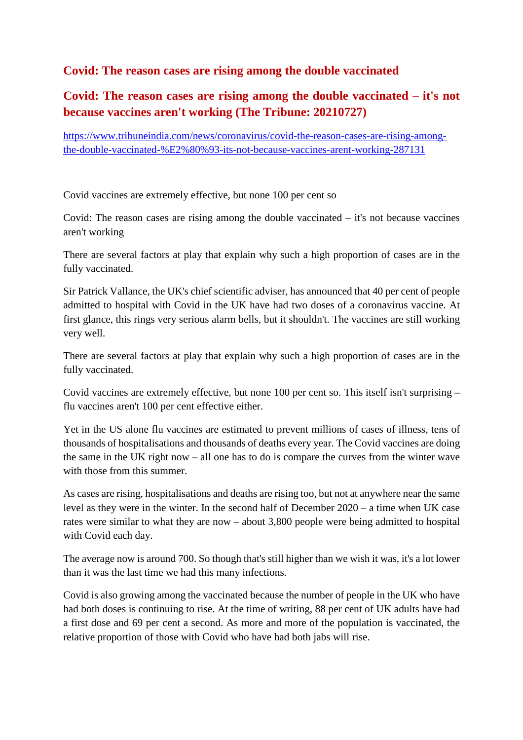#### **Covid: The reason cases are rising among the double vaccinated**

# **Covid: The reason cases are rising among the double vaccinated – it's not because vaccines aren't working (The Tribune: 20210727)**

https://www.tribuneindia.com/news/coronavirus/covid-the-reason-cases-are-rising-amongthe-double-vaccinated-%E2%80%93-its-not-because-vaccines-arent-working-287131

Covid vaccines are extremely effective, but none 100 per cent so

Covid: The reason cases are rising among the double vaccinated – it's not because vaccines aren't working

There are several factors at play that explain why such a high proportion of cases are in the fully vaccinated.

Sir Patrick Vallance, the UK's chief scientific adviser, has announced that 40 per cent of people admitted to hospital with Covid in the UK have had two doses of a coronavirus vaccine. At first glance, this rings very serious alarm bells, but it shouldn't. The vaccines are still working very well.

There are several factors at play that explain why such a high proportion of cases are in the fully vaccinated.

Covid vaccines are extremely effective, but none 100 per cent so. This itself isn't surprising – flu vaccines aren't 100 per cent effective either.

Yet in the US alone flu vaccines are estimated to prevent millions of cases of illness, tens of thousands of hospitalisations and thousands of deaths every year. The Covid vaccines are doing the same in the UK right now – all one has to do is compare the curves from the winter wave with those from this summer.

As cases are rising, hospitalisations and deaths are rising too, but not at anywhere near the same level as they were in the winter. In the second half of December 2020 – a time when UK case rates were similar to what they are now – about 3,800 people were being admitted to hospital with Covid each day.

The average now is around 700. So though that's still higher than we wish it was, it's a lot lower than it was the last time we had this many infections.

Covid is also growing among the vaccinated because the number of people in the UK who have had both doses is continuing to rise. At the time of writing, 88 per cent of UK adults have had a first dose and 69 per cent a second. As more and more of the population is vaccinated, the relative proportion of those with Covid who have had both jabs will rise.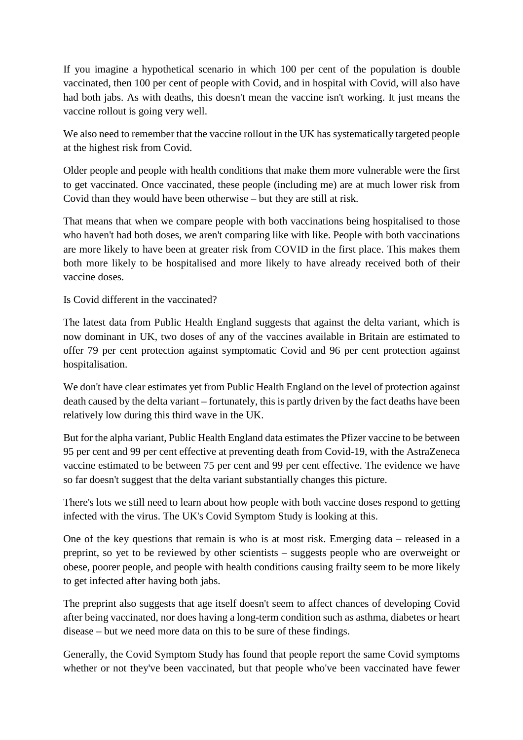If you imagine a hypothetical scenario in which 100 per cent of the population is double vaccinated, then 100 per cent of people with Covid, and in hospital with Covid, will also have had both jabs. As with deaths, this doesn't mean the vaccine isn't working. It just means the vaccine rollout is going very well.

We also need to remember that the vaccine rollout in the UK has systematically targeted people at the highest risk from Covid.

Older people and people with health conditions that make them more vulnerable were the first to get vaccinated. Once vaccinated, these people (including me) are at much lower risk from Covid than they would have been otherwise – but they are still at risk.

That means that when we compare people with both vaccinations being hospitalised to those who haven't had both doses, we aren't comparing like with like. People with both vaccinations are more likely to have been at greater risk from COVID in the first place. This makes them both more likely to be hospitalised and more likely to have already received both of their vaccine doses.

Is Covid different in the vaccinated?

The latest data from Public Health England suggests that against the delta variant, which is now dominant in UK, two doses of any of the vaccines available in Britain are estimated to offer 79 per cent protection against symptomatic Covid and 96 per cent protection against hospitalisation.

We don't have clear estimates yet from Public Health England on the level of protection against death caused by the delta variant – fortunately, this is partly driven by the fact deaths have been relatively low during this third wave in the UK.

But for the alpha variant, Public Health England data estimates the Pfizer vaccine to be between 95 per cent and 99 per cent effective at preventing death from Covid-19, with the AstraZeneca vaccine estimated to be between 75 per cent and 99 per cent effective. The evidence we have so far doesn't suggest that the delta variant substantially changes this picture.

There's lots we still need to learn about how people with both vaccine doses respond to getting infected with the virus. The UK's Covid Symptom Study is looking at this.

One of the key questions that remain is who is at most risk. Emerging data – released in a preprint, so yet to be reviewed by other scientists – suggests people who are overweight or obese, poorer people, and people with health conditions causing frailty seem to be more likely to get infected after having both jabs.

The preprint also suggests that age itself doesn't seem to affect chances of developing Covid after being vaccinated, nor does having a long-term condition such as asthma, diabetes or heart disease – but we need more data on this to be sure of these findings.

Generally, the Covid Symptom Study has found that people report the same Covid symptoms whether or not they've been vaccinated, but that people who've been vaccinated have fewer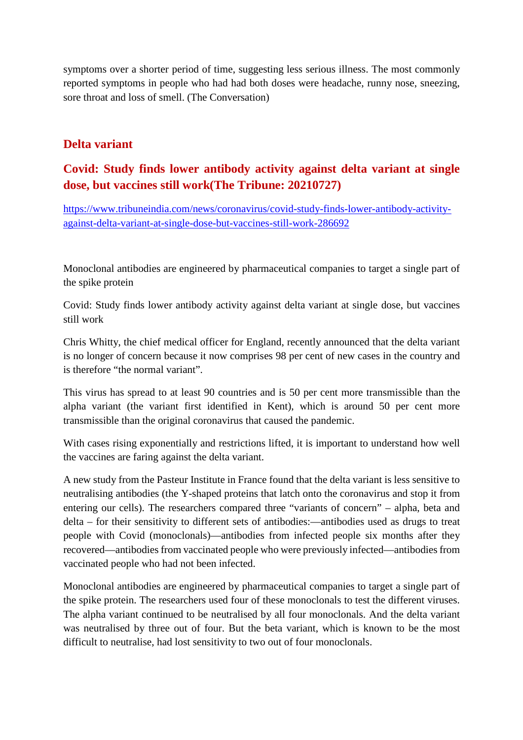symptoms over a shorter period of time, suggesting less serious illness. The most commonly reported symptoms in people who had had both doses were headache, runny nose, sneezing, sore throat and loss of smell. (The Conversation)

#### **Delta variant**

#### **Covid: Study finds lower antibody activity against delta variant at single dose, but vaccines still work(The Tribune: 20210727)**

https://www.tribuneindia.com/news/coronavirus/covid-study-finds-lower-antibody-activityagainst-delta-variant-at-single-dose-but-vaccines-still-work-286692

Monoclonal antibodies are engineered by pharmaceutical companies to target a single part of the spike protein

Covid: Study finds lower antibody activity against delta variant at single dose, but vaccines still work

Chris Whitty, the chief medical officer for England, recently announced that the delta variant is no longer of concern because it now comprises 98 per cent of new cases in the country and is therefore "the normal variant".

This virus has spread to at least 90 countries and is 50 per cent more transmissible than the alpha variant (the variant first identified in Kent), which is around 50 per cent more transmissible than the original coronavirus that caused the pandemic.

With cases rising exponentially and restrictions lifted, it is important to understand how well the vaccines are faring against the delta variant.

A new study from the Pasteur Institute in France found that the delta variant is less sensitive to neutralising antibodies (the Y-shaped proteins that latch onto the coronavirus and stop it from entering our cells). The researchers compared three "variants of concern" – alpha, beta and delta – for their sensitivity to different sets of antibodies:—antibodies used as drugs to treat people with Covid (monoclonals)—antibodies from infected people six months after they recovered—antibodies from vaccinated people who were previously infected—antibodies from vaccinated people who had not been infected.

Monoclonal antibodies are engineered by pharmaceutical companies to target a single part of the spike protein. The researchers used four of these monoclonals to test the different viruses. The alpha variant continued to be neutralised by all four monoclonals. And the delta variant was neutralised by three out of four. But the beta variant, which is known to be the most difficult to neutralise, had lost sensitivity to two out of four monoclonals.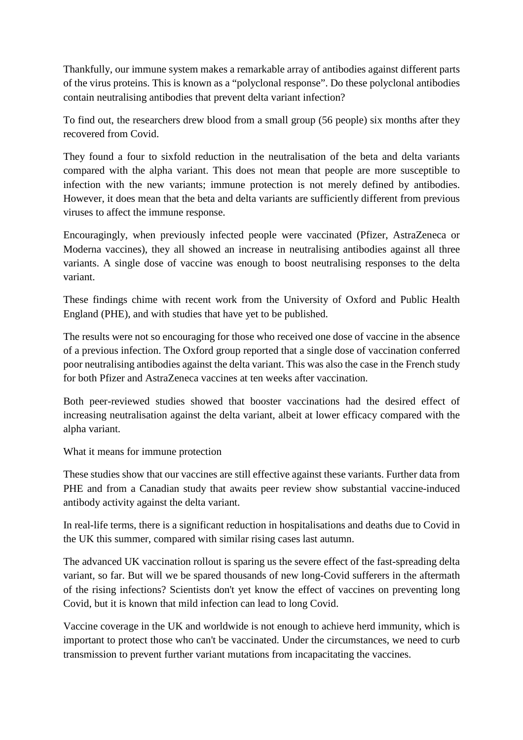Thankfully, our immune system makes a remarkable array of antibodies against different parts of the virus proteins. This is known as a "polyclonal response". Do these polyclonal antibodies contain neutralising antibodies that prevent delta variant infection?

To find out, the researchers drew blood from a small group (56 people) six months after they recovered from Covid.

They found a four to sixfold reduction in the neutralisation of the beta and delta variants compared with the alpha variant. This does not mean that people are more susceptible to infection with the new variants; immune protection is not merely defined by antibodies. However, it does mean that the beta and delta variants are sufficiently different from previous viruses to affect the immune response.

Encouragingly, when previously infected people were vaccinated (Pfizer, AstraZeneca or Moderna vaccines), they all showed an increase in neutralising antibodies against all three variants. A single dose of vaccine was enough to boost neutralising responses to the delta variant.

These findings chime with recent work from the University of Oxford and Public Health England (PHE), and with studies that have yet to be published.

The results were not so encouraging for those who received one dose of vaccine in the absence of a previous infection. The Oxford group reported that a single dose of vaccination conferred poor neutralising antibodies against the delta variant. This was also the case in the French study for both Pfizer and AstraZeneca vaccines at ten weeks after vaccination.

Both peer-reviewed studies showed that booster vaccinations had the desired effect of increasing neutralisation against the delta variant, albeit at lower efficacy compared with the alpha variant.

What it means for immune protection

These studies show that our vaccines are still effective against these variants. Further data from PHE and from a Canadian study that awaits peer review show substantial vaccine-induced antibody activity against the delta variant.

In real-life terms, there is a significant reduction in hospitalisations and deaths due to Covid in the UK this summer, compared with similar rising cases last autumn.

The advanced UK vaccination rollout is sparing us the severe effect of the fast-spreading delta variant, so far. But will we be spared thousands of new long-Covid sufferers in the aftermath of the rising infections? Scientists don't yet know the effect of vaccines on preventing long Covid, but it is known that mild infection can lead to long Covid.

Vaccine coverage in the UK and worldwide is not enough to achieve herd immunity, which is important to protect those who can't be vaccinated. Under the circumstances, we need to curb transmission to prevent further variant mutations from incapacitating the vaccines.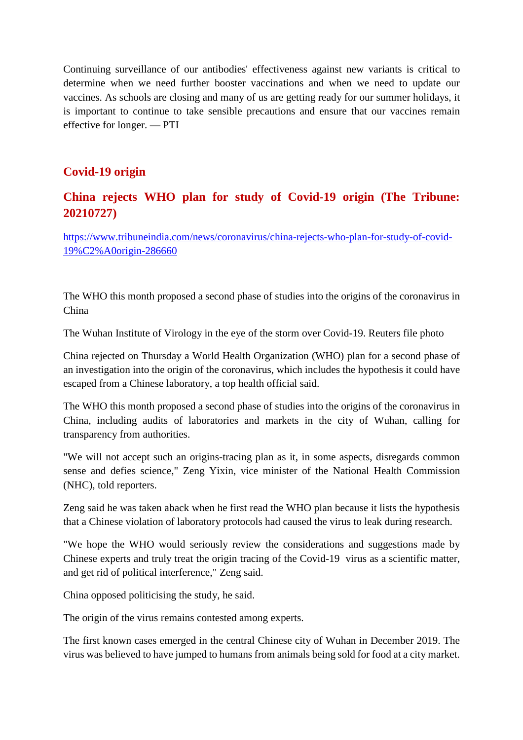Continuing surveillance of our antibodies' effectiveness against new variants is critical to determine when we need further booster vaccinations and when we need to update our vaccines. As schools are closing and many of us are getting ready for our summer holidays, it is important to continue to take sensible precautions and ensure that our vaccines remain effective for longer. — PTI

#### **Covid-19 origin**

#### **China rejects WHO plan for study of Covid-19 origin (The Tribune: 20210727)**

https://www.tribuneindia.com/news/coronavirus/china-rejects-who-plan-for-study-of-covid-19%C2%A0origin-286660

The WHO this month proposed a second phase of studies into the origins of the coronavirus in China

The Wuhan Institute of Virology in the eye of the storm over Covid-19. Reuters file photo

China rejected on Thursday a World Health Organization (WHO) plan for a second phase of an investigation into the origin of the coronavirus, which includes the hypothesis it could have escaped from a Chinese laboratory, a top health official said.

The WHO this month proposed a second phase of studies into the origins of the coronavirus in China, including audits of laboratories and markets in the city of Wuhan, calling for transparency from authorities.

"We will not accept such an origins-tracing plan as it, in some aspects, disregards common sense and defies science," Zeng Yixin, vice minister of the National Health Commission (NHC), told reporters.

Zeng said he was taken aback when he first read the WHO plan because it lists the hypothesis that a Chinese violation of laboratory protocols had caused the virus to leak during research.

"We hope the WHO would seriously review the considerations and suggestions made by Chinese experts and truly treat the origin tracing of the Covid-19 virus as a scientific matter, and get rid of political interference," Zeng said.

China opposed politicising the study, he said.

The origin of the virus remains contested among experts.

The first known cases emerged in the central Chinese city of Wuhan in December 2019. The virus was believed to have jumped to humans from animals being sold for food at a city market.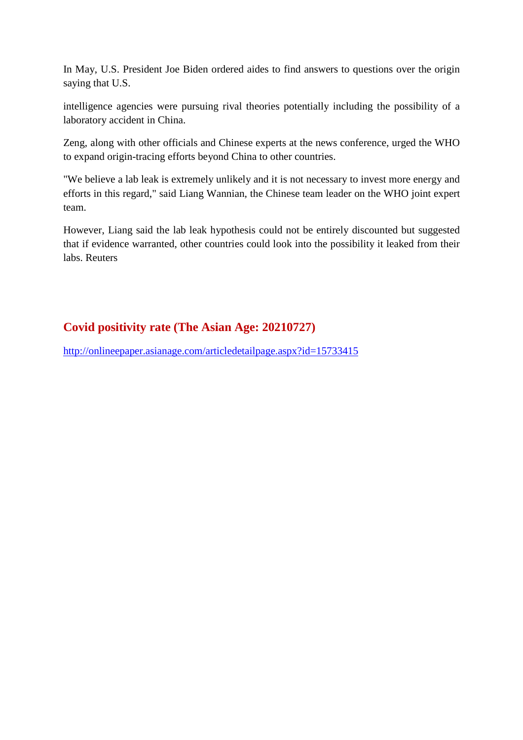In May, U.S. President Joe Biden ordered aides to find answers to questions over the origin saying that U.S.

intelligence agencies were pursuing rival theories potentially including the possibility of a laboratory accident in China.

Zeng, along with other officials and Chinese experts at the news conference, urged the WHO to expand origin-tracing efforts beyond China to other countries.

"We believe a lab leak is extremely unlikely and it is not necessary to invest more energy and efforts in this regard," said Liang Wannian, the Chinese team leader on the WHO joint expert team.

However, Liang said the lab leak hypothesis could not be entirely discounted but suggested that if evidence warranted, other countries could look into the possibility it leaked from their labs. Reuters

## **Covid positivity rate (The Asian Age: 20210727)**

http://onlineepaper.asianage.com/articledetailpage.aspx?id=15733415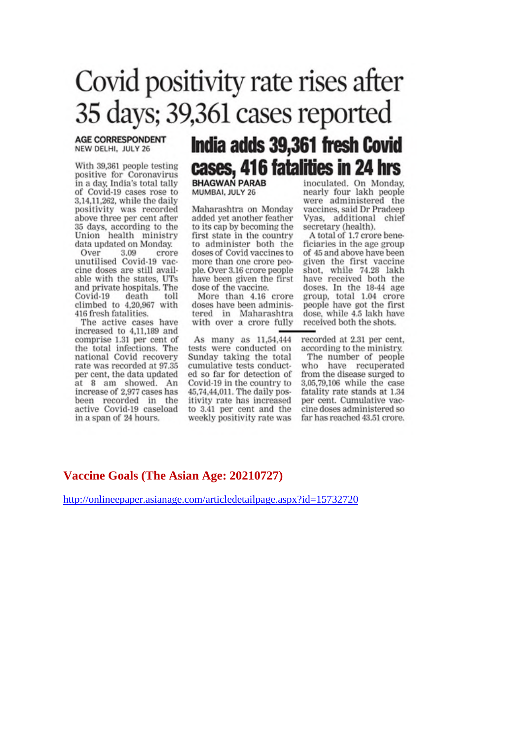# Covid positivity rate rises after 35 days; 39,361 cases reported

**AGE CORRESPONDENT** NEW DELHI, JULY 26

With 39,361 people testing positive for Coronavirus in a day, India's total tally of Covid-19 cases rose to 3,14,11,262, while the daily positivity was recorded above three per cent after 35 days, according to the<br>Union health ministry data updated on Monday.

Over 3.09 crore unutilised Covid-19 vaccine doses are still available with the states, UTs and private hospitals. The Covid-19 death toll climbed to 4,20,967 with 416 fresh fatalities.

The active cases have increased to 4,11,189 and comprise 1.31 per cent of the total infections. The national Covid recovery rate was recorded at 97.35 per cent, the data updated at 8 am showed. An increase of 2,977 cases has been recorded in the active Covid-19 caseload in a span of 24 hours.

# India adds 39,361 fresh Covid Cases, 416 fatalities in 24 hrs

MUMBAI, JULY 26

Maharashtra on Monday added yet another feather to its cap by becoming the first state in the country to administer both the doses of Covid vaccines to more than one crore people. Over 3.16 crore people have been given the first dose of the vaccine.

More than 4.16 crore doses have been administered in Maharashtra with over a crore fully

As many as 11,54,444 tests were conducted on Sunday taking the total cumulative tests conducted so far for detection of Covid-19 in the country to 45,74,44,011. The daily positivity rate has increased to 3.41 per cent and the weekly positivity rate was inoculated. On Monday,<br>nearly four lakh people were administered the vaccines, said Dr Pradeep Vyas, additional chief secretary (health).

A total of 1.7 crore beneficiaries in the age group of 45 and above have been given the first vaccine shot, while 74.28 lakh have received both the doses. In the 18-44 age group, total 1.04 crore people have got the first dose, while 4.5 lakh have received both the shots.

recorded at 2.31 per cent, according to the ministry.

The number of people who have recuperated from the disease surged to 3,05,79,106 while the case fatality rate stands at 1.34 per cent. Cumulative vaccine doses administered so far has reached 43.51 crore.

#### **Vaccine Goals (The Asian Age: 20210727)**

http://onlineepaper.asianage.com/articledetailpage.aspx?id=15732720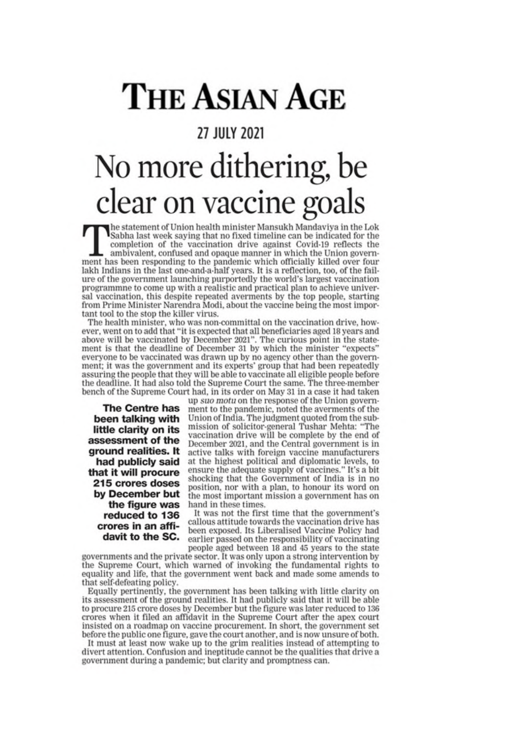**THE ASIAN AGE** 

# **27 JULY 2021**

# No more dithering, be clear on vaccine goals

the statement of Union health minister Mansukh Mandaviya in the Lok<br>Sabha last week saying that no fixed timeline can be indicated for the completion of the vaccination drive against Covid-19 reflects the ambivalent, confused and opaque manner in which the Union government has been responding to the pandemic which officially killed over four lakh Indians in the last one-and-a-half years. It is a reflection, too, of the failure of the government launching purportedly the world's largest vaccination programmne to come up with a realistic and practical plan to achieve universal vaccination, this despite repeated averments by the top people, starting from Prime Minister Narendra Modi, about the vaccine being the most important tool to the stop the killer virus.

The health minister, who was non-committal on the vaccination drive, however, went on to add that "it is expected that all beneficiaries aged 18 years and above will be vaccinated by December 2021". The curious point in the statement is that the deadline of December 31 by which the minister "expects" everyone to be vaccinated was drawn up by no agency other than the government; it was the government and its experts' group that had been repeatedly assuring the people that they will be able to vaccinate all eligible people before the deadline. It had also told the Supreme Court the same. The three-member bench of the Supreme Court had, in its order on May 31 in a case it had taken

The Centre has been talking with little clarity on its assessment of the ground realities. It had publicly said that it will procure 215 crores doses by December but the figure was reduced to 136 crores in an affidavit to the SC.

up suo motu on the response of the Union government to the pandemic, noted the averments of the Union of India. The judgment quoted from the submission of solicitor-general Tushar Mehta: "The vaccination drive will be complete by the end of December 2021, and the Central government is in active talks with foreign vaccine manufacturers at the highest political and diplomatic levels, to ensure the adequate supply of vaccines." It's a bit shocking that the Government of India is in no position, nor with a plan, to honour its word on the most important mission a government has on hand in these times.

It was not the first time that the government's callous attitude towards the vaccination drive has been exposed. Its Liberalised Vaccine Policy had earlier passed on the responsibility of vaccinating people aged between 18 and 45 years to the state

governments and the private sector. It was only upon a strong intervention by the Supreme Court, which warned of invoking the fundamental rights to equality and life, that the government went back and made some amends to that self-defeating policy.

Equally pertinently, the government has been talking with little clarity on its assessment of the ground realities. It had publicly said that it will be able to procure 215 crore doses by December but the figure was later reduced to 136 crores when it filed an affidavit in the Supreme Court after the apex court insisted on a roadmap on vaccine procurement. In short, the government set before the public one figure, gave the court another, and is now unsure of both.

It must at least now wake up to the grim realities instead of attempting to divert attention. Confusion and ineptitude cannot be the qualities that drive a government during a pandemic; but clarity and promptness can.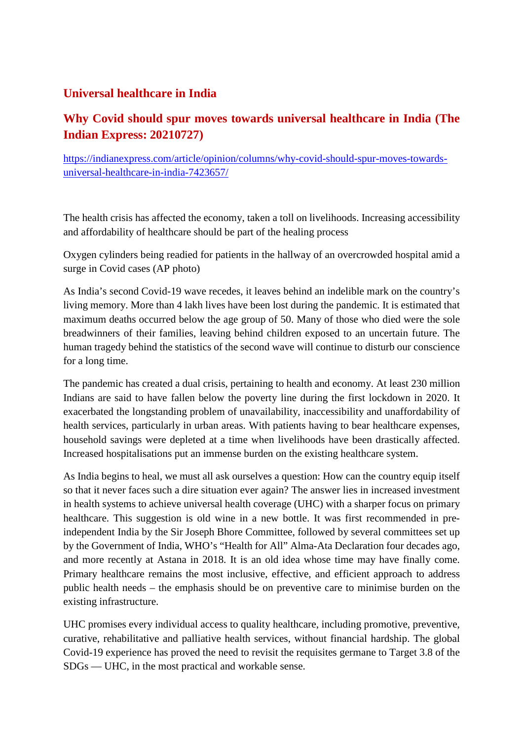#### **Universal healthcare in India**

# **Why Covid should spur moves towards universal healthcare in India (The Indian Express: 20210727)**

https://indianexpress.com/article/opinion/columns/why-covid-should-spur-moves-towardsuniversal-healthcare-in-india-7423657/

The health crisis has affected the economy, taken a toll on livelihoods. Increasing accessibility and affordability of healthcare should be part of the healing process

Oxygen cylinders being readied for patients in the hallway of an overcrowded hospital amid a surge in Covid cases (AP photo)

As India's second Covid-19 wave recedes, it leaves behind an indelible mark on the country's living memory. More than 4 lakh lives have been lost during the pandemic. It is estimated that maximum deaths occurred below the age group of 50. Many of those who died were the sole breadwinners of their families, leaving behind children exposed to an uncertain future. The human tragedy behind the statistics of the second wave will continue to disturb our conscience for a long time.

The pandemic has created a dual crisis, pertaining to health and economy. At least 230 million Indians are said to have fallen below the poverty line during the first lockdown in 2020. It exacerbated the longstanding problem of unavailability, inaccessibility and unaffordability of health services, particularly in urban areas. With patients having to bear healthcare expenses, household savings were depleted at a time when livelihoods have been drastically affected. Increased hospitalisations put an immense burden on the existing healthcare system.

As India begins to heal, we must all ask ourselves a question: How can the country equip itself so that it never faces such a dire situation ever again? The answer lies in increased investment in health systems to achieve universal health coverage (UHC) with a sharper focus on primary healthcare. This suggestion is old wine in a new bottle. It was first recommended in preindependent India by the Sir Joseph Bhore Committee, followed by several committees set up by the Government of India, WHO's "Health for All" Alma-Ata Declaration four decades ago, and more recently at Astana in 2018. It is an old idea whose time may have finally come. Primary healthcare remains the most inclusive, effective, and efficient approach to address public health needs – the emphasis should be on preventive care to minimise burden on the existing infrastructure.

UHC promises every individual access to quality healthcare, including promotive, preventive, curative, rehabilitative and palliative health services, without financial hardship. The global Covid-19 experience has proved the need to revisit the requisites germane to Target 3.8 of the SDGs — UHC, in the most practical and workable sense.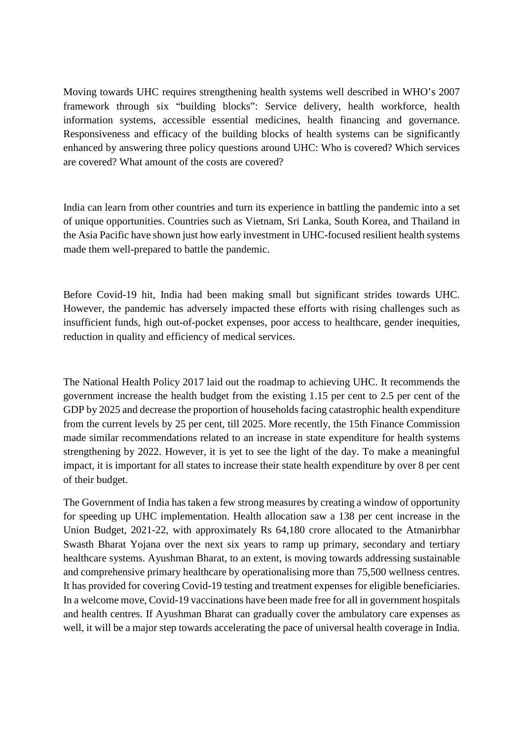Moving towards UHC requires strengthening health systems well described in WHO's 2007 framework through six "building blocks": Service delivery, health workforce, health information systems, accessible essential medicines, health financing and governance. Responsiveness and efficacy of the building blocks of health systems can be significantly enhanced by answering three policy questions around UHC: Who is covered? Which services are covered? What amount of the costs are covered?

India can learn from other countries and turn its experience in battling the pandemic into a set of unique opportunities. Countries such as Vietnam, Sri Lanka, South Korea, and Thailand in the Asia Pacific have shown just how early investment in UHC-focused resilient health systems made them well-prepared to battle the pandemic.

Before Covid-19 hit, India had been making small but significant strides towards UHC. However, the pandemic has adversely impacted these efforts with rising challenges such as insufficient funds, high out-of-pocket expenses, poor access to healthcare, gender inequities, reduction in quality and efficiency of medical services.

The National Health Policy 2017 laid out the roadmap to achieving UHC. It recommends the government increase the health budget from the existing 1.15 per cent to 2.5 per cent of the GDP by 2025 and decrease the proportion of households facing catastrophic health expenditure from the current levels by 25 per cent, till 2025. More recently, the 15th Finance Commission made similar recommendations related to an increase in state expenditure for health systems strengthening by 2022. However, it is yet to see the light of the day. To make a meaningful impact, it is important for all states to increase their state health expenditure by over 8 per cent of their budget.

The Government of India has taken a few strong measures by creating a window of opportunity for speeding up UHC implementation. Health allocation saw a 138 per cent increase in the Union Budget, 2021-22, with approximately Rs 64,180 crore allocated to the Atmanirbhar Swasth Bharat Yojana over the next six years to ramp up primary, secondary and tertiary healthcare systems. Ayushman Bharat, to an extent, is moving towards addressing sustainable and comprehensive primary healthcare by operationalising more than 75,500 wellness centres. It has provided for covering Covid-19 testing and treatment expenses for eligible beneficiaries. In a welcome move, Covid-19 vaccinations have been made free for all in government hospitals and health centres. If Ayushman Bharat can gradually cover the ambulatory care expenses as well, it will be a major step towards accelerating the pace of universal health coverage in India.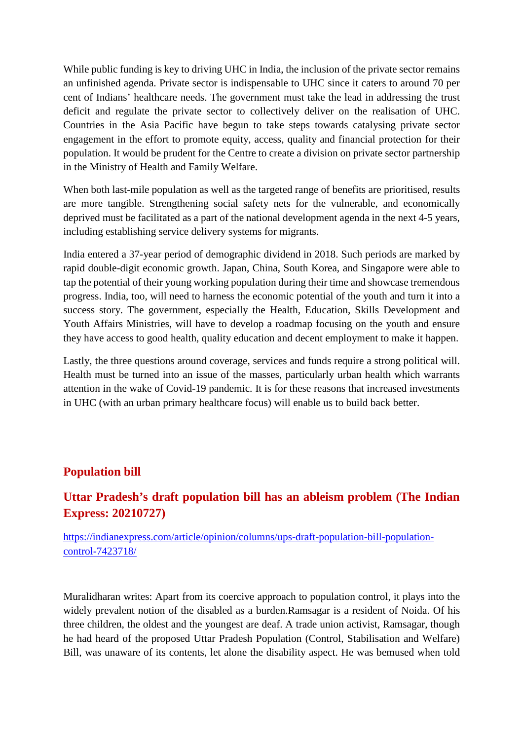While public funding is key to driving UHC in India, the inclusion of the private sector remains an unfinished agenda. Private sector is indispensable to UHC since it caters to around 70 per cent of Indians' healthcare needs. The government must take the lead in addressing the trust deficit and regulate the private sector to collectively deliver on the realisation of UHC. Countries in the Asia Pacific have begun to take steps towards catalysing private sector engagement in the effort to promote equity, access, quality and financial protection for their population. It would be prudent for the Centre to create a division on private sector partnership in the Ministry of Health and Family Welfare.

When both last-mile population as well as the targeted range of benefits are prioritised, results are more tangible. Strengthening social safety nets for the vulnerable, and economically deprived must be facilitated as a part of the national development agenda in the next 4-5 years, including establishing service delivery systems for migrants.

India entered a 37-year period of demographic dividend in 2018. Such periods are marked by rapid double-digit economic growth. Japan, China, South Korea, and Singapore were able to tap the potential of their young working population during their time and showcase tremendous progress. India, too, will need to harness the economic potential of the youth and turn it into a success story. The government, especially the Health, Education, Skills Development and Youth Affairs Ministries, will have to develop a roadmap focusing on the youth and ensure they have access to good health, quality education and decent employment to make it happen.

Lastly, the three questions around coverage, services and funds require a strong political will. Health must be turned into an issue of the masses, particularly urban health which warrants attention in the wake of Covid-19 pandemic. It is for these reasons that increased investments in UHC (with an urban primary healthcare focus) will enable us to build back better.

#### **Population bill**

#### **Uttar Pradesh's draft population bill has an ableism problem (The Indian Express: 20210727)**

https://indianexpress.com/article/opinion/columns/ups-draft-population-bill-populationcontrol-7423718/

Muralidharan writes: Apart from its coercive approach to population control, it plays into the widely prevalent notion of the disabled as a burden.Ramsagar is a resident of Noida. Of his three children, the oldest and the youngest are deaf. A trade union activist, Ramsagar, though he had heard of the proposed Uttar Pradesh Population (Control, Stabilisation and Welfare) Bill, was unaware of its contents, let alone the disability aspect. He was bemused when told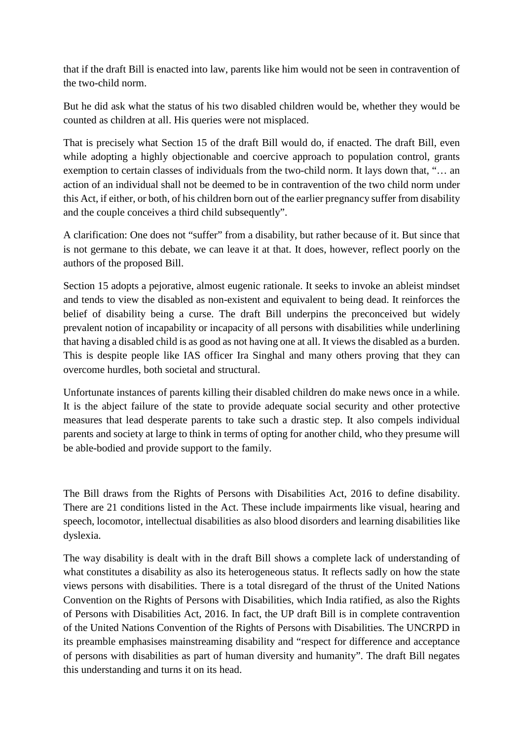that if the draft Bill is enacted into law, parents like him would not be seen in contravention of the two-child norm.

But he did ask what the status of his two disabled children would be, whether they would be counted as children at all. His queries were not misplaced.

That is precisely what Section 15 of the draft Bill would do, if enacted. The draft Bill, even while adopting a highly objectionable and coercive approach to population control, grants exemption to certain classes of individuals from the two-child norm. It lays down that, "… an action of an individual shall not be deemed to be in contravention of the two child norm under this Act, if either, or both, of his children born out of the earlier pregnancy suffer from disability and the couple conceives a third child subsequently".

A clarification: One does not "suffer" from a disability, but rather because of it. But since that is not germane to this debate, we can leave it at that. It does, however, reflect poorly on the authors of the proposed Bill.

Section 15 adopts a pejorative, almost eugenic rationale. It seeks to invoke an ableist mindset and tends to view the disabled as non-existent and equivalent to being dead. It reinforces the belief of disability being a curse. The draft Bill underpins the preconceived but widely prevalent notion of incapability or incapacity of all persons with disabilities while underlining that having a disabled child is as good as not having one at all. It views the disabled as a burden. This is despite people like IAS officer Ira Singhal and many others proving that they can overcome hurdles, both societal and structural.

Unfortunate instances of parents killing their disabled children do make news once in a while. It is the abject failure of the state to provide adequate social security and other protective measures that lead desperate parents to take such a drastic step. It also compels individual parents and society at large to think in terms of opting for another child, who they presume will be able-bodied and provide support to the family.

The Bill draws from the Rights of Persons with Disabilities Act, 2016 to define disability. There are 21 conditions listed in the Act. These include impairments like visual, hearing and speech, locomotor, intellectual disabilities as also blood disorders and learning disabilities like dyslexia.

The way disability is dealt with in the draft Bill shows a complete lack of understanding of what constitutes a disability as also its heterogeneous status. It reflects sadly on how the state views persons with disabilities. There is a total disregard of the thrust of the United Nations Convention on the Rights of Persons with Disabilities, which India ratified, as also the Rights of Persons with Disabilities Act, 2016. In fact, the UP draft Bill is in complete contravention of the United Nations Convention of the Rights of Persons with Disabilities. The UNCRPD in its preamble emphasises mainstreaming disability and "respect for difference and acceptance of persons with disabilities as part of human diversity and humanity". The draft Bill negates this understanding and turns it on its head.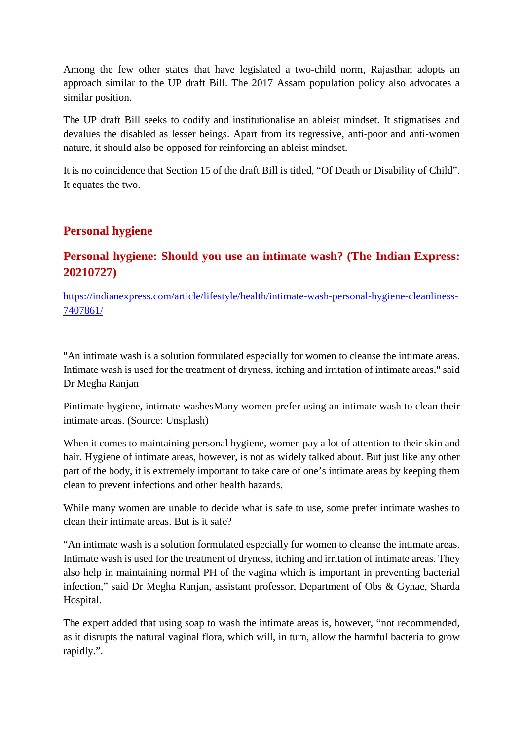Among the few other states that have legislated a two-child norm, Rajasthan adopts an approach similar to the UP draft Bill. The 2017 Assam population policy also advocates a similar position.

The UP draft Bill seeks to codify and institutionalise an ableist mindset. It stigmatises and devalues the disabled as lesser beings. Apart from its regressive, anti-poor and anti-women nature, it should also be opposed for reinforcing an ableist mindset.

It is no coincidence that Section 15 of the draft Bill is titled, "Of Death or Disability of Child". It equates the two.

#### **Personal hygiene**

### **Personal hygiene: Should you use an intimate wash? (The Indian Express: 20210727)**

https://indianexpress.com/article/lifestyle/health/intimate-wash-personal-hygiene-cleanliness-7407861/

"An intimate wash is a solution formulated especially for women to cleanse the intimate areas. Intimate wash is used for the treatment of dryness, itching and irritation of intimate areas," said Dr Megha Ranjan

Pintimate hygiene, intimate washesMany women prefer using an intimate wash to clean their intimate areas. (Source: Unsplash)

When it comes to maintaining personal hygiene, women pay a lot of attention to their skin and hair. Hygiene of intimate areas, however, is not as widely talked about. But just like any other part of the body, it is extremely important to take care of one's intimate areas by keeping them clean to prevent infections and other health hazards.

While many women are unable to decide what is safe to use, some prefer intimate washes to clean their intimate areas. But is it safe?

"An intimate wash is a solution formulated especially for women to cleanse the intimate areas. Intimate wash is used for the treatment of dryness, itching and irritation of intimate areas. They also help in maintaining normal PH of the vagina which is important in preventing bacterial infection," said Dr Megha Ranjan, assistant professor, Department of Obs & Gynae, Sharda Hospital.

The expert added that using soap to wash the intimate areas is, however, "not recommended, as it disrupts the natural vaginal flora, which will, in turn, allow the harmful bacteria to grow rapidly.".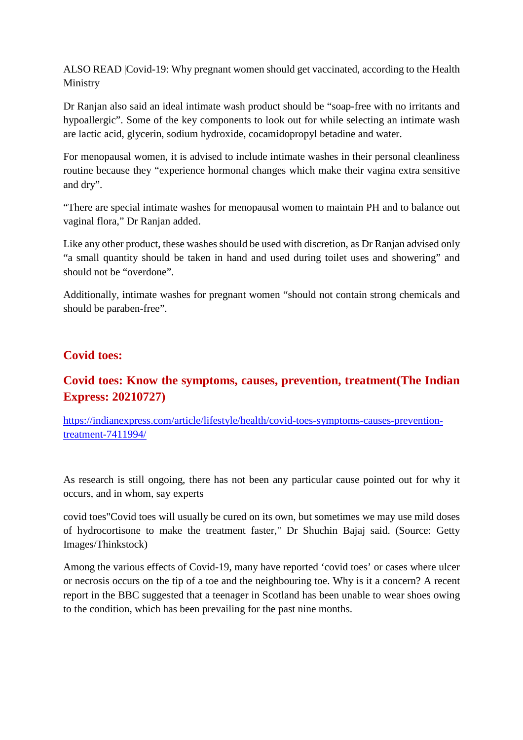ALSO READ |Covid-19: Why pregnant women should get vaccinated, according to the Health Ministry

Dr Ranjan also said an ideal intimate wash product should be "soap-free with no irritants and hypoallergic". Some of the key components to look out for while selecting an intimate wash are lactic acid, glycerin, sodium hydroxide, cocamidopropyl betadine and water.

For menopausal women, it is advised to include intimate washes in their personal cleanliness routine because they "experience hormonal changes which make their vagina extra sensitive and dry".

"There are special intimate washes for menopausal women to maintain PH and to balance out vaginal flora," Dr Ranjan added.

Like any other product, these washes should be used with discretion, as Dr Ranjan advised only "a small quantity should be taken in hand and used during toilet uses and showering" and should not be "overdone".

Additionally, intimate washes for pregnant women "should not contain strong chemicals and should be paraben-free".

#### **Covid toes:**

#### **Covid toes: Know the symptoms, causes, prevention, treatment(The Indian Express: 20210727)**

https://indianexpress.com/article/lifestyle/health/covid-toes-symptoms-causes-preventiontreatment-7411994/

As research is still ongoing, there has not been any particular cause pointed out for why it occurs, and in whom, say experts

covid toes"Covid toes will usually be cured on its own, but sometimes we may use mild doses of hydrocortisone to make the treatment faster," Dr Shuchin Bajaj said. (Source: Getty Images/Thinkstock)

Among the various effects of Covid-19, many have reported 'covid toes' or cases where ulcer or necrosis occurs on the tip of a toe and the neighbouring toe. Why is it a concern? A recent report in the BBC suggested that a teenager in Scotland has been unable to wear shoes owing to the condition, which has been prevailing for the past nine months.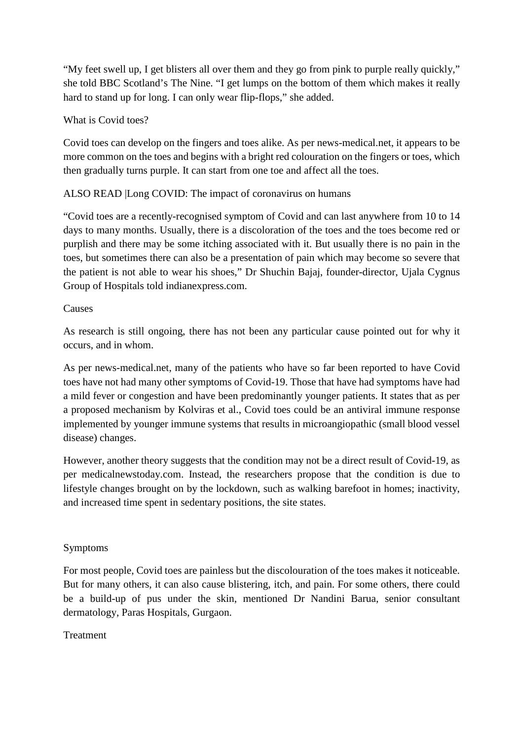"My feet swell up, I get blisters all over them and they go from pink to purple really quickly," she told BBC Scotland's The Nine. "I get lumps on the bottom of them which makes it really hard to stand up for long. I can only wear flip-flops," she added.

#### What is Covid toes?

Covid toes can develop on the fingers and toes alike. As per news-medical.net, it appears to be more common on the toes and begins with a bright red colouration on the fingers or toes, which then gradually turns purple. It can start from one toe and affect all the toes.

#### ALSO READ |Long COVID: The impact of coronavirus on humans

"Covid toes are a recently-recognised symptom of Covid and can last anywhere from 10 to 14 days to many months. Usually, there is a discoloration of the toes and the toes become red or purplish and there may be some itching associated with it. But usually there is no pain in the toes, but sometimes there can also be a presentation of pain which may become so severe that the patient is not able to wear his shoes," Dr Shuchin Bajaj, founder-director, Ujala Cygnus Group of Hospitals told indianexpress.com.

#### Causes

As research is still ongoing, there has not been any particular cause pointed out for why it occurs, and in whom.

As per news-medical.net, many of the patients who have so far been reported to have Covid toes have not had many other symptoms of Covid-19. Those that have had symptoms have had a mild fever or congestion and have been predominantly younger patients. It states that as per a proposed mechanism by Kolviras et al., Covid toes could be an antiviral immune response implemented by younger immune systems that results in microangiopathic (small blood vessel disease) changes.

However, another theory suggests that the condition may not be a direct result of Covid-19, as per medicalnewstoday.com. Instead, the researchers propose that the condition is due to lifestyle changes brought on by the lockdown, such as walking barefoot in homes; inactivity, and increased time spent in sedentary positions, the site states.

#### Symptoms

For most people, Covid toes are painless but the discolouration of the toes makes it noticeable. But for many others, it can also cause blistering, itch, and pain. For some others, there could be a build-up of pus under the skin, mentioned Dr Nandini Barua, senior consultant dermatology, Paras Hospitals, Gurgaon.

#### Treatment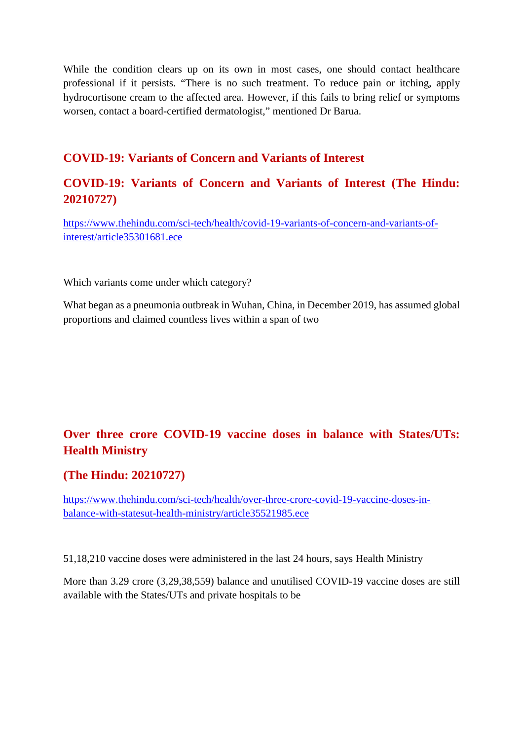While the condition clears up on its own in most cases, one should contact healthcare professional if it persists. "There is no such treatment. To reduce pain or itching, apply hydrocortisone cream to the affected area. However, if this fails to bring relief or symptoms worsen, contact a board-certified dermatologist," mentioned Dr Barua.

#### **COVID-19: Variants of Concern and Variants of Interest**

#### **COVID-19: Variants of Concern and Variants of Interest (The Hindu: 20210727)**

https://www.thehindu.com/sci-tech/health/covid-19-variants-of-concern-and-variants-ofinterest/article35301681.ece

Which variants come under which category?

What began as a pneumonia outbreak in Wuhan, China, in December 2019, has assumed global proportions and claimed countless lives within a span of two

# **Over three crore COVID-19 vaccine doses in balance with States/UTs: Health Ministry**

#### **(The Hindu: 20210727)**

https://www.thehindu.com/sci-tech/health/over-three-crore-covid-19-vaccine-doses-inbalance-with-statesut-health-ministry/article35521985.ece

51,18,210 vaccine doses were administered in the last 24 hours, says Health Ministry

More than 3.29 crore (3,29,38,559) balance and unutilised COVID-19 vaccine doses are still available with the States/UTs and private hospitals to be